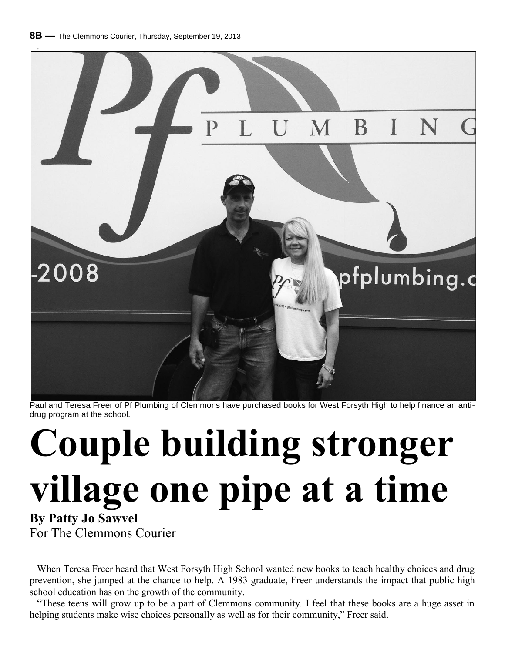

Paul and Teresa Freer of Pf Plumbing of Clemmons have purchased books for West Forsyth High to help finance an antidrug program at the school.

## **Couple building stronger village one pipe at a time**

**By Patty Jo Sawvel** For The Clemmons Courier

When Teresa Freer heard that West Forsyth High School wanted new books to teach healthy choices and drug prevention, she jumped at the chance to help. A 1983 graduate, Freer understands the impact that public high school education has on the growth of the community.

"These teens will grow up to be a part of Clemmons community. I feel that these books are a huge asset in helping students make wise choices personally as well as for their community," Freer said.